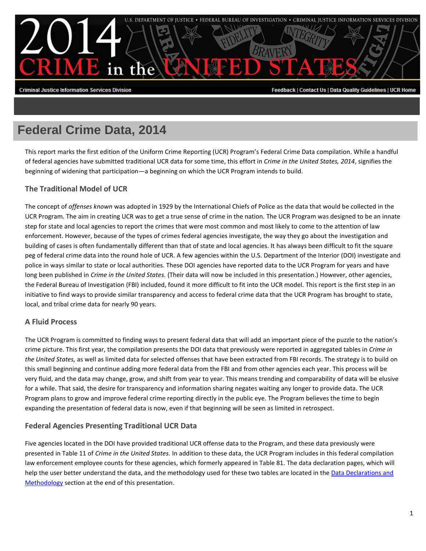

#### **Criminal Justice Information Services Division**

Feedback | Contact Us | Data Quality Guidelines | UCR Home

# **Federal Crime Data, 2014**

This report marks the first edition of the Uniform Crime Reporting (UCR) Program's Federal Crime Data compilation. While a handful of federal agencies have submitted traditional UCR data for some time, this effort in *Crime in the United States, 2014*, signifies the beginning of widening that participation—a beginning on which the UCR Program intends to build.

# **The Traditional Model of UCR**

The concept of *offenses known* was adopted in 1929 by the International Chiefs of Police as the data that would be collected in the UCR Program. The aim in creating UCR was to get a true sense of crime in the nation. The UCR Program was designed to be an innate step for state and local agencies to report the crimes that were most common and most likely to come to the attention of law enforcement. However, because of the types of crimes federal agencies investigate, the way they go about the investigation and building of cases is often fundamentally different than that of state and local agencies. It has always been difficult to fit the square peg of federal crime data into the round hole of UCR. A few agencies within the U.S. Department of the Interior (DOI) investigate and police in ways similar to state or local authorities. These DOI agencies have reported data to the UCR Program for years and have long been published in *Crime in the United States.* (Their data will now be included in this presentation.) However, other agencies, the Federal Bureau of Investigation (FBI) included, found it more difficult to fit into the UCR model. This report is the first step in an initiative to find ways to provide similar transparency and access to federal crime data that the UCR Program has brought to state, local, and tribal crime data for nearly 90 years.

# **A Fluid Process**

The UCR Program is committed to finding ways to present federal data that will add an important piece of the puzzle to the nation's crime picture. This first year, the compilation presents the DOI data that previously were reported in aggregated tables in *Crime in the United States,* as well as limited data for selected offenses that have been extracted from FBI records. The strategy is to build on this small beginning and continue adding more federal data from the FBI and from other agencies each year. This process will be very fluid, and the data may change, grow, and shift from year to year. This means trending and comparability of data will be elusive for a while. That said, the desire for transparency and information sharing negates waiting any longer to provide data. The UCR Program plans to grow and improve federal crime reporting directly in the public eye. The Program believes the time to begin expanding the presentation of federal data is now, even if that beginning will be seen as limited in retrospect.

# **Federal Agencies Presenting Traditional UCR Data**

Five agencies located in the DOI have provided traditional UCR offense data to the Program, and these data previously were presented in Table 11 of *Crime in the United States.* In addition to these data, the UCR Program includes in this federal compilation law enforcement employee counts for these agencies, which formerly appeared in Table 81. The data declaration pages, which will help the user better understand the data, and the methodology used for these two tables are located in the Data Declarations and [Methodology](#page-6-0) section at the end of this presentation.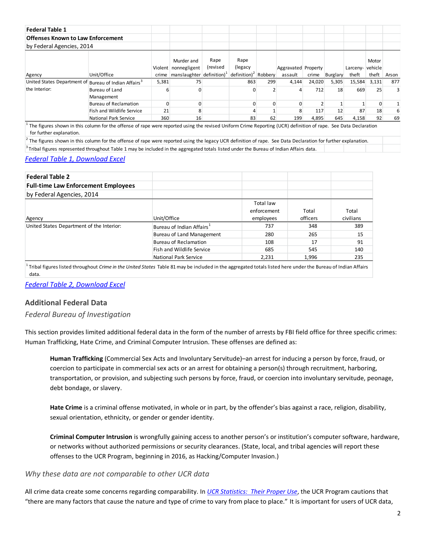| <b>Federal Table 1</b>                   |                                                                                                                                                                                                                                                                                                                                                |       |                                                              |                  |                                         |     |                     |        |          |                 |       |       |
|------------------------------------------|------------------------------------------------------------------------------------------------------------------------------------------------------------------------------------------------------------------------------------------------------------------------------------------------------------------------------------------------|-------|--------------------------------------------------------------|------------------|-----------------------------------------|-----|---------------------|--------|----------|-----------------|-------|-------|
| <b>Offenses Known to Law Enforcement</b> |                                                                                                                                                                                                                                                                                                                                                |       |                                                              |                  |                                         |     |                     |        |          |                 |       |       |
| by Federal Agencies, 2014                |                                                                                                                                                                                                                                                                                                                                                |       |                                                              |                  |                                         |     |                     |        |          |                 |       |       |
|                                          |                                                                                                                                                                                                                                                                                                                                                |       | Murder and<br>Violent nonnegligent                           | Rape<br>(revised | Rape<br>(legacy)                        |     | Aggravated Property |        |          | Larceny-vehicle | Motor |       |
| Agency                                   | Unit/Office                                                                                                                                                                                                                                                                                                                                    |       | crime $\lfloor$ manslaughter $\lfloor$ definition) $\lfloor$ |                  | $\det$ definition) <sup>2</sup> Robbery |     | assault             | crime  | Burglary | theft           | theft | Arson |
| United States Department of              | Bureau of Indian Affairs <sup>3</sup>                                                                                                                                                                                                                                                                                                          | 5,381 | 75                                                           |                  | 863                                     | 299 | 4,144               | 24,020 | 5,305    | 15,584          | 3,131 | 877   |
| the Interior:                            | Bureau of Land<br>Management                                                                                                                                                                                                                                                                                                                   | 6     |                                                              |                  |                                         |     |                     | 712    | 18       | 669             | 25    |       |
|                                          | Bureau of Reclamation                                                                                                                                                                                                                                                                                                                          | 0     |                                                              |                  |                                         |     |                     |        |          |                 |       |       |
|                                          | Fish and Wildlife Service                                                                                                                                                                                                                                                                                                                      | 21    |                                                              |                  |                                         |     |                     | 117    | 12       | 87              | 18    | 6     |
|                                          | National Park Service                                                                                                                                                                                                                                                                                                                          | 360   | 16                                                           |                  | 83                                      | 62  | 199                 | 4,895  | 645      | 4,158           | 92    | 69    |
| for further explanation.                 | The figures shown in this column for the offense of rape were reported using the revised Uniform Crime Reporting (UCR) definition of rape. See Data Declaration<br>$\frac{1}{2}$ The figures shown in this column for the offense of rape were reported using the legacy UCR definition of rape. See Data Declaration for further explanation. |       |                                                              |                  |                                         |     |                     |        |          |                 |       |       |

<sup>3</sup>Tribal figures represented throughout Table 1 may be included in the aggregated totals listed under the Bureau of Indian Affairs data.

# *[Federal Table 1, Download Excel](https://www.fbi.gov/about-us/cjis/ucr/crime-in-the-u.s/2014/crime-in-the-u.s.-2014/tables/federal-crime-data/offenses_known_to_law_enforcement_by_federal_agencies_2014.xls/output.xls)*

| <b>Federal Table 2</b>                     |                                       |             |          |           |
|--------------------------------------------|---------------------------------------|-------------|----------|-----------|
| <b>Full-time Law Enforcement Employees</b> |                                       |             |          |           |
| by Federal Agencies, 2014                  |                                       |             |          |           |
|                                            |                                       | Total law   |          |           |
|                                            |                                       | enforcement | Total    | Total     |
| Agency                                     | Unit/Office                           | employees   | officers | civilians |
| United States Department of the Interior:  | Bureau of Indian Affairs <sup>1</sup> | 737         | 348      | 389       |
|                                            | <b>Bureau of Land Management</b>      | 280         | 265      | 15        |
|                                            | <b>Bureau of Reclamation</b>          | 108         | 17       | 91        |
|                                            | Fish and Wildlife Service             | 685         | 545      | 140       |
|                                            | National Park Service                 | 2,231       | 1,996    | 235       |

<sup>1</sup> Tribal figures listed throughout *Crime in the United States* Table 81 may be included in the aggregated totals listed here under the Bureau of Indian Affairs data.

*[Federal Table 2, Download Excel](https://www.fbi.gov/about-us/cjis/ucr/crime-in-the-u.s/2014/crime-in-the-u.s.-2014/tables/federal-crime-data/full_time_law_enforcement_employees_by_federal_agencies_2014.xls/output.xls)*

# **Additional Federal Data**

# *Federal Bureau of Investigation*

This section provides limited additional federal data in the form of the number of arrests by FBI field office for three specific crimes: Human Trafficking, Hate Crime, and Criminal Computer Intrusion. These offenses are defined as:

**Human Trafficking** (Commercial Sex Acts and Involuntary Servitude)–an arrest for inducing a person by force, fraud, or coercion to participate in commercial sex acts or an arrest for obtaining a person(s) through recruitment, harboring, transportation, or provision, and subjecting such persons by force, fraud, or coercion into involuntary servitude, peonage, debt bondage, or slavery.

**Hate Crime** is a criminal offense motivated, in whole or in part, by the offender's bias against a race, religion, disability, sexual orientation, ethnicity, or gender or gender identity.

**Criminal Computer Intrusion** is wrongfully gaining access to another person's or institution's computer software, hardware, or networks without authorized permissions or security clearances. (State, local, and tribal agencies will report these offenses to the UCR Program, beginning in 2016, as Hacking/Computer Invasion.)

# *Why these data are not comparable to other UCR data*

All crime data create some concerns regarding comparability. In *[UCR Statistics: Their Proper Use](https://www.fbi.gov/about-us/cjis/ucr/ucr-statistics-their-proper-use)*, the UCR Program cautions that "there are many factors that cause the nature and type of crime to vary from place to place." It is important for users of UCR data,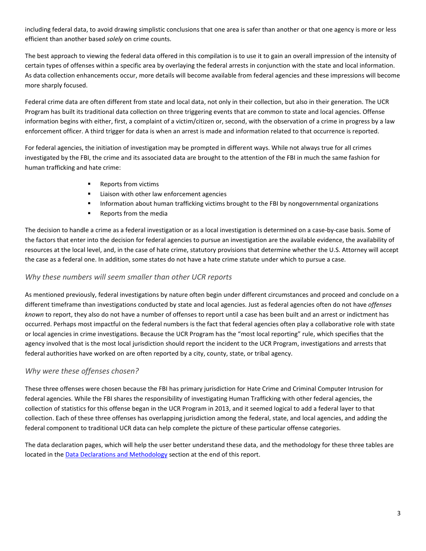including federal data, to avoid drawing simplistic conclusions that one area is safer than another or that one agency is more or less efficient than another based *solely* on crime counts.

The best approach to viewing the federal data offered in this compilation is to use it to gain an overall impression of the intensity of certain types of offenses within a specific area by overlaying the federal arrests in conjunction with the state and local information. As data collection enhancements occur, more details will become available from federal agencies and these impressions will become more sharply focused.

Federal crime data are often different from state and local data, not only in their collection, but also in their generation. The UCR Program has built its traditional data collection on three triggering events that are common to state and local agencies. Offense information begins with either, first, a complaint of a victim/citizen or, second, with the observation of a crime in progress by a law enforcement officer. A third trigger for data is when an arrest is made and information related to that occurrence is reported.

For federal agencies, the initiation of investigation may be prompted in different ways. While not always true for all crimes investigated by the FBI, the crime and its associated data are brought to the attention of the FBI in much the same fashion for human trafficking and hate crime:

- Reports from victims
- **EXEC** Liaison with other law enforcement agencies
- **Information about human trafficking victims brought to the FBI by nongovernmental organizations**
- **Reports from the media**

The decision to handle a crime as a federal investigation or as a local investigation is determined on a case-by-case basis. Some of the factors that enter into the decision for federal agencies to pursue an investigation are the available evidence, the availability of resources at the local level, and, in the case of hate crime, statutory provisions that determine whether the U.S. Attorney will accept the case as a federal one. In addition, some states do not have a hate crime statute under which to pursue a case.

# *Why these numbers will seem smaller than other UCR reports*

As mentioned previously, federal investigations by nature often begin under different circumstances and proceed and conclude on a different timeframe than investigations conducted by state and local agencies. Just as federal agencies often do not have *offenses known* to report, they also do not have a number of offenses to report until a case has been built and an arrest or indictment has occurred. Perhaps most impactful on the federal numbers is the fact that federal agencies often play a collaborative role with state or local agencies in crime investigations. Because the UCR Program has the "most local reporting" rule, which specifies that the agency involved that is the most local jurisdiction should report the incident to the UCR Program, investigations and arrests that federal authorities have worked on are often reported by a city, county, state, or tribal agency.

# *Why were these offenses chosen?*

These three offenses were chosen because the FBI has primary jurisdiction for Hate Crime and Criminal Computer Intrusion for federal agencies. While the FBI shares the responsibility of investigating Human Trafficking with other federal agencies, the collection of statistics for this offense began in the UCR Program in 2013, and it seemed logical to add a federal layer to that collection. Each of these three offenses has overlapping jurisdiction among the federal, state, and local agencies, and adding the federal component to traditional UCR data can help complete the picture of these particular offense categories.

The data declaration pages, which will help the user better understand these data, and the methodology for these three tables are located in the **Data Declarations and Methodology** section at the end of this report.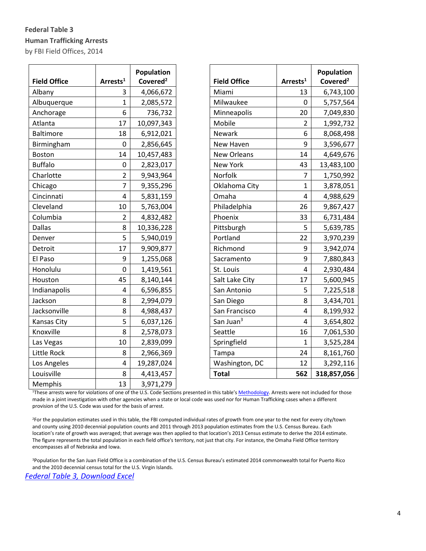# **Federal Table 3 Human Trafficking Arrests** by FBI Field Offices, 2014

| <b>Field Office</b> | Arrests <sup>1</sup> | Population<br>Covered <sup>2</sup> | <b>Field Office</b>   | Arrests <sup>1</sup>    | Population<br>Covered <sup>2</sup> |
|---------------------|----------------------|------------------------------------|-----------------------|-------------------------|------------------------------------|
| Albany              | 3                    | 4,066,672                          | Miami                 | 13                      | 6,743,100                          |
| Albuquerque         | $\mathbf{1}$         | 2,085,572                          | Milwaukee             | $\mathbf 0$             | 5,757,564                          |
| Anchorage           | 6                    | 736,732                            | Minneapolis           | 20                      | 7,049,830                          |
| Atlanta             | 17                   | 10,097,343                         | Mobile                | $\overline{2}$          | 1,992,732                          |
| <b>Baltimore</b>    | 18                   | 6,912,021                          | Newark                | 6                       | 8,068,498                          |
| Birmingham          | $\mathbf 0$          | 2,856,645                          | New Haven             | 9                       | 3,596,677                          |
| <b>Boston</b>       | 14                   | 10,457,483                         | <b>New Orleans</b>    | 14                      | 4,649,676                          |
| <b>Buffalo</b>      | $\boldsymbol{0}$     | 2,823,017                          | New York              | 43                      | 13,483,100                         |
| Charlotte           | $\overline{2}$       | 9,943,964                          | Norfolk               | $\overline{7}$          | 1,750,992                          |
| Chicago             | 7                    | 9,355,296                          | Oklahoma City         | $\mathbf{1}$            | 3,878,051                          |
| Cincinnati          | 4                    | 5,831,159                          | Omaha                 | $\overline{4}$          | 4,988,629                          |
| Cleveland           | 10                   | 5,763,004                          | Philadelphia          | 26                      | 9,867,427                          |
| Columbia            | $\overline{2}$       | 4,832,482                          | Phoenix               | 33                      | 6,731,484                          |
| <b>Dallas</b>       | 8                    | 10,336,228                         | Pittsburgh            | 5                       | 5,639,785                          |
| Denver              | 5                    | 5,940,019                          | Portland              | 22                      | 3,970,239                          |
| Detroit             | 17                   | 9,909,877                          | Richmond              | 9                       | 3,942,074                          |
| El Paso             | 9                    | 1,255,068                          | Sacramento            | 9                       | 7,880,843                          |
| Honolulu            | $\mathbf 0$          | 1,419,561                          | St. Louis             | $\overline{\mathbf{4}}$ | 2,930,484                          |
| Houston             | 45                   | 8,140,144                          | Salt Lake City        | 17                      | 5,600,945                          |
| Indianapolis        | 4                    | 6,596,855                          | San Antonio           | 5                       | 7,225,518                          |
| Jackson             | 8                    | 2,994,079                          | San Diego             | 8                       | 3,434,701                          |
| Jacksonville        | 8                    | 4,988,437                          | San Francisco         | $\overline{4}$          | 8,199,932                          |
| Kansas City         | 5                    | 6,037,126                          | San Juan <sup>3</sup> | $\overline{4}$          | 3,654,802                          |
| Knoxville           | 8                    | 2,578,073                          | Seattle               | 16                      | 7,061,530                          |
| Las Vegas           | 10                   | 2,839,099                          | Springfield           | $\mathbf{1}$            | 3,525,284                          |
| Little Rock         | 8                    | 2,966,369                          | Tampa                 | 24                      | 8,161,760                          |
| Los Angeles         | 4                    | 19,287,024                         | Washington, DC        | 12                      | 3,292,116                          |
| Louisville          | 8                    | 4,413,457                          | <b>Total</b>          | 562                     | 318,857,056                        |
| Memphis             | 13                   | 3,971,279                          |                       |                         |                                    |

|                       |                      | Population           |
|-----------------------|----------------------|----------------------|
| <b>Field Office</b>   | Arrests <sup>1</sup> | Covered <sup>2</sup> |
| Miami                 | 13                   | 6,743,100            |
| Milwaukee             | 0                    | 5,757,564            |
| Minneapolis           | 20                   | 7,049,830            |
| Mobile                | $\overline{2}$       | 1,992,732            |
| Newark                | 6                    | 8,068,498            |
| New Haven             | 9                    | 3,596,677            |
| <b>New Orleans</b>    | 14                   | 4,649,676            |
| <b>New York</b>       | 43                   | 13,483,100           |
| Norfolk               | 7                    | 1,750,992            |
| Oklahoma City         | $\overline{1}$       | 3,878,051            |
| Omaha                 | 4                    | 4,988,629            |
| Philadelphia          | 26                   | 9,867,427            |
| Phoenix               | 33                   | 6,731,484            |
| Pittsburgh            | 5                    | 5,639,785            |
| Portland              | 22                   | 3,970,239            |
| Richmond              | 9                    | 3,942,074            |
| Sacramento            | 9                    | 7,880,843            |
| St. Louis             | 4                    | 2,930,484            |
| Salt Lake City        | 17                   | 5,600,945            |
| San Antonio           | 5                    | 7,225,518            |
| San Diego             | 8                    | 3,434,701            |
| San Francisco         | 4                    | 8,199,932            |
| San Juan <sup>3</sup> | 4                    | 3,654,802            |
| Seattle               | 16                   | 7,061,530            |
| Springfield           | 1                    | 3,525,284            |
| Tampa                 | 24                   | 8,161,760            |
| Washington, DC        | 12                   | 3,292,116            |
| <b>Total</b>          | 562                  | 218857056            |

<sup>1</sup>These arrests were for violations of one of the U.S. Code Sections presented in this table'[s Methodology.](#page-7-0) Arrests were not included for those made in a joint investigation with other agencies when a state or local code was used nor for Human Trafficking cases when a different provision of the U.S. Code was used for the basis of arrest.

<sup>2</sup>For the population estimates used in this table, the FBI computed individual rates of growth from one year to the next for every city/town and county using 2010 decennial population counts and 2011 through 2013 population estimates from the U.S. Census Bureau. Each location's rate of growth was averaged; that average was then applied to that location's 2013 Census estimate to derive the 2014 estimate. The figure represents the total population in each field office's territory, not just that city. For instance, the Omaha Field Office territory encompasses all of Nebraska and Iowa.

<sup>3</sup>Population for the San Juan Field Office is a combination of the U.S. Census Bureau's estimated 2014 commonwealth total for Puerto Rico and the 2010 decennial census total for the U.S. Virgin Islands.

*[Federal Table 3, Download Excel](https://www.fbi.gov/about-us/cjis/ucr/crime-in-the-u.s/2014/crime-in-the-u.s.-2014/tables/federal-crime-data/federal-table-3-human-trafficking.xls/output.xls)*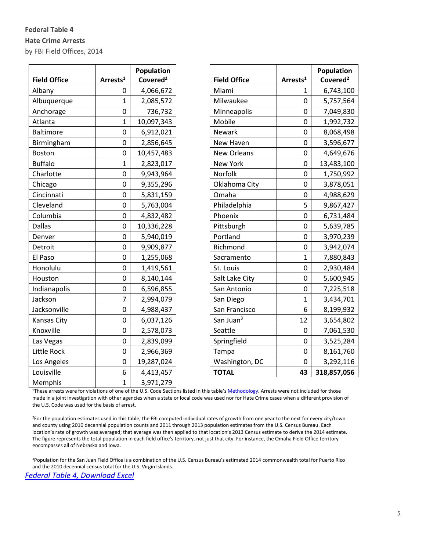# **Federal Table 4 Hate Crime Arrests** by FBI Field Offices, 2014

|                     |                      | Population           |                       |                      | <b>Population</b>    |
|---------------------|----------------------|----------------------|-----------------------|----------------------|----------------------|
| <b>Field Office</b> | Arrests <sup>1</sup> | Covered <sup>2</sup> | <b>Field Office</b>   | Arrests <sup>1</sup> | Covered <sup>2</sup> |
| Albany              | 0                    | 4,066,672            | Miami                 | $\mathbf{1}$         | 6,743,100            |
| Albuquerque         | 1                    | 2,085,572            | Milwaukee             | $\mathbf 0$          | 5,757,564            |
| Anchorage           | $\mathbf 0$          | 736,732              | Minneapolis           | $\pmb{0}$            | 7,049,830            |
| Atlanta             | 1                    | 10,097,343           | Mobile                | 0                    | 1,992,732            |
| <b>Baltimore</b>    | 0                    | 6,912,021            | <b>Newark</b>         | $\mathbf 0$          | 8,068,498            |
| Birmingham          | $\mathbf 0$          | 2,856,645            | New Haven             | $\mathbf 0$          | 3,596,677            |
| <b>Boston</b>       | $\boldsymbol{0}$     | 10,457,483           | New Orleans           | $\mathbf 0$          | 4,649,676            |
| <b>Buffalo</b>      | $\mathbf{1}$         | 2,823,017            | New York              | $\mathbf 0$          | 13,483,100           |
| Charlotte           | 0                    | 9,943,964            | Norfolk               | 0                    | 1,750,992            |
| Chicago             | 0                    | 9,355,296            | Oklahoma City         | 0                    | 3,878,051            |
| Cincinnati          | $\boldsymbol{0}$     | 5,831,159            | Omaha                 | $\mathbf 0$          | 4,988,629            |
| Cleveland           | $\boldsymbol{0}$     | 5,763,004            | Philadelphia          | 5                    | 9,867,427            |
| Columbia            | $\mathbf 0$          | 4,832,482            | Phoenix               | $\mathbf 0$          | 6,731,484            |
| <b>Dallas</b>       | 0                    | 10,336,228           | Pittsburgh            | $\mathbf 0$          | 5,639,785            |
| Denver              | 0                    | 5,940,019            | Portland              | $\mathbf 0$          | 3,970,239            |
| Detroit             | $\mathbf 0$          | 9,909,877            | Richmond              | $\pmb{0}$            | 3,942,074            |
| El Paso             | $\mathbf 0$          | 1,255,068            | Sacramento            | $\mathbf{1}$         | 7,880,843            |
| Honolulu            | $\mathbf 0$          | 1,419,561            | St. Louis             | $\mathbf 0$          | 2,930,484            |
| Houston             | 0                    | 8,140,144            | Salt Lake City        | $\mathbf 0$          | 5,600,945            |
| Indianapolis        | 0                    | 6,596,855            | San Antonio           | $\mathbf 0$          | 7,225,518            |
| Jackson             | $\overline{7}$       | 2,994,079            | San Diego             | $\mathbf 1$          | 3,434,701            |
| Jacksonville        | $\mathsf 0$          | 4,988,437            | San Francisco         | 6                    | 8,199,932            |
| Kansas City         | $\mathbf 0$          | 6,037,126            | San Juan <sup>3</sup> | 12                   | 3,654,802            |
| Knoxville           | $\boldsymbol{0}$     | 2,578,073            | Seattle               | 0                    | 7,061,530            |
| Las Vegas           | 0                    | 2,839,099            | Springfield           | $\mathbf 0$          | 3,525,284            |
| Little Rock         | $\boldsymbol{0}$     | 2,966,369            | Tampa                 | $\mathbf 0$          | 8,161,760            |
| Los Angeles         | $\boldsymbol{0}$     | 19,287,024           | Washington, DC        | $\mathbf 0$          | 3,292,116            |
| Louisville          | 6                    | 4,413,457            | <b>TOTAL</b>          | 43                   | 318,857,056          |
| Memphis             | $\mathbf{1}$         | 3,971,279            |                       |                      |                      |

|                       |                      | Population           |
|-----------------------|----------------------|----------------------|
| <b>Field Office</b>   | Arrests <sup>1</sup> | Covered <sup>2</sup> |
| Miami                 | 1                    | 6,743,100            |
| Milwaukee             | 0                    | 5,757,564            |
| Minneapolis           | 0                    | 7,049,830            |
| Mobile                | 0                    | 1,992,732            |
| Newark                | 0                    | 8,068,498            |
| New Haven             | 0                    | 3,596,677            |
| New Orleans           | 0                    | 4,649,676            |
| <b>New York</b>       | 0                    | 13,483,100           |
| Norfolk               | 0                    | 1,750,992            |
| Oklahoma City         | 0                    | 3,878,051            |
| Omaha                 | 0                    | 4,988,629            |
| Philadelphia          | 5                    | 9,867,427            |
| Phoenix               | 0                    | 6,731,484            |
| Pittsburgh            | 0                    | 5,639,785            |
| Portland              | 0                    | 3,970,239            |
| Richmond              | 0                    | 3,942,074            |
| Sacramento            | $\overline{1}$       | 7,880,843            |
| St. Louis             | 0                    | 2,930,484            |
| Salt Lake City        | 0                    | 5,600,945            |
| San Antonio           | 0                    | 7,225,518            |
| San Diego             | 1                    | 3,434,701            |
| San Francisco         | 6                    | 8,199,932            |
| San Juan <sup>3</sup> | 12                   | 3,654,802            |
| Seattle               | 0                    | 7,061,530            |
| Springfield           | 0                    | 3,525,284            |
| Tampa                 | 0                    | 8,161,760            |
| Washington, DC        | 0                    | 3,292,116            |
| ΤΩΤΔΙ                 | 43                   | 318 857 056          |

<sup>1</sup>These arrests were for violations of one of the U.S. Code Sections listed in this table's [Methodology.](#page-8-0) Arrests were not included for those made in a joint investigation with other agencies when a state or local code was used nor for Hate Crime cases when a different provision of the U.S. Code was used for the basis of arrest.

<sup>2</sup>For the population estimates used in this table, the FBI computed individual rates of growth from one year to the next for every city/town and county using 2010 decennial population counts and 2011 through 2013 population estimates from the U.S. Census Bureau. Each location's rate of growth was averaged; that average was then applied to that location's 2013 Census estimate to derive the 2014 estimate. The figure represents the total population in each field office's territory, not just that city. For instance, the Omaha Field Office territory encompasses all of Nebraska and Iowa.

<sup>3</sup>Population for the San Juan Field Office is a combination of the U.S. Census Bureau's estimated 2014 commonwealth total for Puerto Rico and the 2010 decennial census total for the U.S. Virgin Islands.

*[Federal Table 4, Download Excel](https://www.fbi.gov/about-us/cjis/ucr/crime-in-the-u.s/2014/crime-in-the-u.s.-2014/tables/federal-crime-data/federal-table-4-hate-crime.xls/output.xls)*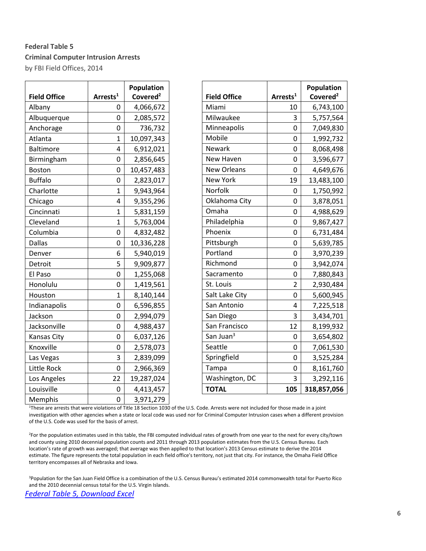# **Federal Table 5 Criminal Computer Intrusion Arrests** by FBI Field Offices, 2014

|                     |                      | Population           |                       |                      | Population           |
|---------------------|----------------------|----------------------|-----------------------|----------------------|----------------------|
| <b>Field Office</b> | Arrests <sup>1</sup> | Covered <sup>2</sup> | <b>Field Office</b>   | Arrests <sup>1</sup> | Covered <sup>2</sup> |
| Albany              | 0                    | 4,066,672            | Miami                 | 10                   | 6,743,100            |
| Albuquerque         | $\mathbf 0$          | 2,085,572            | Milwaukee             | 3                    | 5,757,564            |
| Anchorage           | $\mathbf 0$          | 736,732              | Minneapolis           | 0                    | 7,049,830            |
| Atlanta             | $\mathbf{1}$         | 10,097,343           | Mobile                | 0                    | 1,992,732            |
| <b>Baltimore</b>    | 4                    | 6,912,021            | Newark                | 0                    | 8,068,498            |
| Birmingham          | 0                    | 2,856,645            | New Haven             | 0                    | 3,596,677            |
| <b>Boston</b>       | $\pmb{0}$            | 10,457,483           | New Orleans           | 0                    | 4,649,676            |
| <b>Buffalo</b>      | $\mathbf 0$          | 2,823,017            | <b>New York</b>       | 19                   | 13,483,100           |
| Charlotte           | $\mathbf{1}$         | 9,943,964            | Norfolk               | 0                    | 1,750,992            |
| Chicago             | 4                    | 9,355,296            | Oklahoma City         | 0                    | 3,878,051            |
| Cincinnati          | $\mathbf{1}$         | 5,831,159            | Omaha                 | 0                    | 4,988,629            |
| Cleveland           | $\mathbf{1}$         | 5,763,004            | Philadelphia          | 0                    | 9,867,427            |
| Columbia            | 0                    | 4,832,482            | Phoenix               | 0                    | 6,731,484            |
| <b>Dallas</b>       | $\pmb{0}$            | 10,336,228           | Pittsburgh            | 0                    | 5,639,785            |
| Denver              | 6                    | 5,940,019            | Portland              | $\mathbf 0$          | 3,970,239            |
| Detroit             | 5                    | 9,909,877            | Richmond              | 0                    | 3,942,074            |
| El Paso             | $\pmb{0}$            | 1,255,068            | Sacramento            | 0                    | 7,880,843            |
| Honolulu            | 0                    | 1,419,561            | St. Louis             | $\overline{2}$       | 2,930,484            |
| Houston             | $\mathbf{1}$         | 8,140,144            | Salt Lake City        | 0                    | 5,600,945            |
| Indianapolis        | $\pmb{0}$            | 6,596,855            | San Antonio           | 4                    | 7,225,518            |
| Jackson             | $\mathbf 0$          | 2,994,079            | San Diego             | 3                    | 3,434,701            |
| Jacksonville        | $\pmb{0}$            | 4,988,437            | San Francisco         | 12                   | 8,199,932            |
| <b>Kansas City</b>  | $\pmb{0}$            | 6,037,126            | San Juan <sup>3</sup> | $\pmb{0}$            | 3,654,802            |
| Knoxville           | $\mathbf 0$          | 2,578,073            | Seattle               | 0                    | 7,061,530            |
| Las Vegas           | 3                    | 2,839,099            | Springfield           | $\mathbf 0$          | 3,525,284            |
| Little Rock         | 0                    | 2,966,369            | Tampa                 | 0                    | 8,161,760            |
| Los Angeles         | 22                   | 19,287,024           | Washington, DC        | 3                    | 3,292,116            |
| Louisville          | $\pmb{0}$            | 4,413,457            | <b>TOTAL</b>          | 105                  | 318,857,056          |
| Memphis             | $\pmb{0}$            | 3,971,279            |                       |                      |                      |

| <b>Field Office</b>     | Arrests <sup>1</sup> | Population<br>Covered <sup>2</sup> |
|-------------------------|----------------------|------------------------------------|
| Miami                   | 10                   | 6,743,100                          |
| Milwaukee               | 3                    | 5,757,564                          |
| Minneapolis             | 0                    | 7,049,830                          |
| Mobile                  | 0                    | 1,992,732                          |
| Newark                  | 0                    | 8,068,498                          |
| New Haven               | 0                    | 3,596,677                          |
| <b>New Orleans</b>      | 0                    | 4,649,676                          |
| <b>New York</b>         | 19                   | 13,483,100                         |
| Norfolk                 | 0                    |                                    |
| Oklahoma City           |                      | 1,750,992                          |
| Omaha                   | 0                    | 3,878,051                          |
|                         | 0                    | 4,988,629                          |
| Philadelphia<br>Phoenix | 0                    | 9,867,427                          |
|                         | 0                    | 6,731,484                          |
| Pittsburgh              | 0                    | 5,639,785                          |
| Portland                | 0                    | 3,970,239                          |
| Richmond                | 0                    | 3,942,074                          |
| Sacramento              | 0                    | 7,880,843                          |
| St. Louis               | 2                    | 2,930,484                          |
| Salt Lake City          | 0                    | 5,600,945                          |
| San Antonio             | 4                    | 7,225,518                          |
| San Diego               | 3                    | 3,434,701                          |
| San Francisco           | 12                   | 8,199,932                          |
| San Juan <sup>3</sup>   | 0                    | 3,654,802                          |
| Seattle                 | 0                    | 7,061,530                          |
| Springfield             | 0                    | 3,525,284                          |
| Tampa                   | 0                    | 8,161,760                          |
| Washington, DC          | 3                    | 3,292,116                          |
| <b>TOTAL</b>            | 105                  | 318,857,056                        |

<sup>1</sup>These are arrests that were violations of Title 18 Section 1030 of the U.S. Code. Arrests were not included for those made in a joint investigation with other agencies when a state or local code was used nor for Criminal Computer Intrusion cases when a different provision of the U.S. Code was used for the basis of arrest.

<sup>2</sup>For the population estimates used in this table, the FBI computed individual rates of growth from one year to the next for every city/town and county using 2010 decennial population counts and 2011 through 2013 population estimates from the U.S. Census Bureau. Each location's rate of growth was averaged; that average was then applied to that location's 2013 Census estimate to derive the 2014 estimate. The figure represents the total population in each field office's territory, not just that city. For instance, the Omaha Field Office territory encompasses all of Nebraska and Iowa.

<sup>3</sup>Population for the San Juan Field Office is a combination of the U.S. Census Bureau's estimated 2014 commonwealth total for Puerto Rico and the 2010 decennial census total for the U.S. Virgin Islands.

*[Federal Table 5, Download Excel](https://www.fbi.gov/about-us/cjis/ucr/crime-in-the-u.s/2014/crime-in-the-u.s.-2014/tables/federal-crime-data/federal-table-5-criminal-computer-intrusion.xls/output.xls)*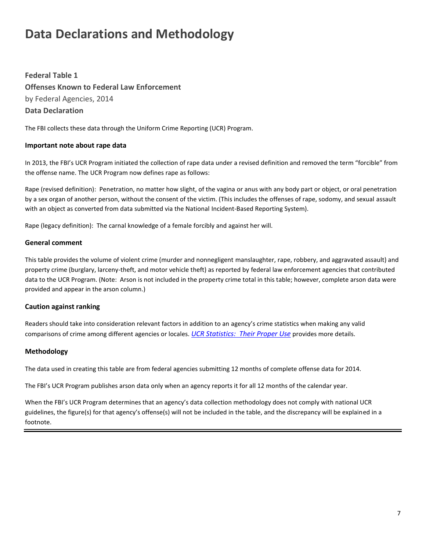# <span id="page-6-0"></span>**Data Declarations and Methodology**

**Federal Table 1 Offenses Known to Federal Law Enforcement** by Federal Agencies, 2014 **Data Declaration**

The FBI collects these data through the Uniform Crime Reporting (UCR) Program.

# **Important note about rape data**

In 2013, the FBI's UCR Program initiated the collection of rape data under a revised definition and removed the term "forcible" from the offense name. The UCR Program now defines rape as follows:

Rape (revised definition): Penetration, no matter how slight, of the vagina or anus with any body part or object, or oral penetration by a sex organ of another person, without the consent of the victim. (This includes the offenses of rape, sodomy, and sexual assault with an object as converted from data submitted via the National Incident-Based Reporting System).

Rape (legacy definition): The carnal knowledge of a female forcibly and against her will.

#### **General comment**

This table provides the volume of violent crime (murder and nonnegligent manslaughter, rape, robbery, and aggravated assault) and property crime (burglary, larceny-theft, and motor vehicle theft) as reported by federal law enforcement agencies that contributed data to the UCR Program. (Note: Arson is not included in the property crime total in this table; however, complete arson data were provided and appear in the arson column.)

#### **Caution against ranking**

Readers should take into consideration relevant factors in addition to an agency's crime statistics when making any valid comparisons of crime among different agencies or locales. *UCR Statistics: [Their Proper Use](http://www.fbi.gov/about-us/cjis/ucr/ucr-statistics-their-proper-use)* provides more details.

#### **Methodology**

The data used in creating this table are from federal agencies submitting 12 months of complete offense data for 2014.

The FBI's UCR Program publishes arson data only when an agency reports it for all 12 months of the calendar year.

When the FBI's UCR Program determines that an agency's data collection methodology does not comply with national UCR guidelines, the figure(s) for that agency's offense(s) will not be included in the table, and the discrepancy will be explained in a footnote.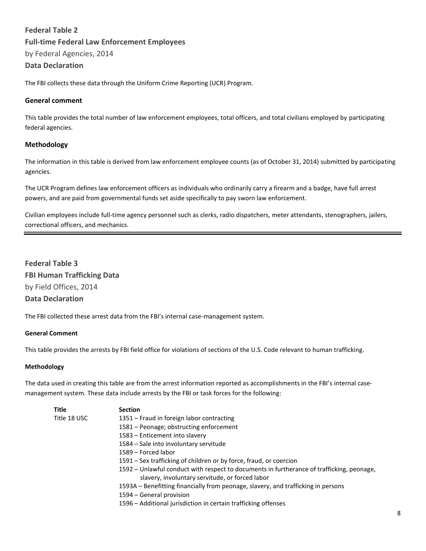# **Federal Table 2 Full-time Federal Law Enforcement Employees**  by Federal Agencies, 2014

# **Data Declaration**

The FBI collects these data through the Uniform Crime Reporting (UCR) Program.

#### **General comment**

This table provides the total number of law enforcement employees, total officers, and total civilians employed by participating federal agencies.

#### **Methodology**

The information in this table is derived from law enforcement employee counts (as of October 31, 2014) submitted by participating agencies.

The UCR Program defines law enforcement officers as individuals who ordinarily carry a firearm and a badge, have full arrest powers, and are paid from governmental funds set aside specifically to pay sworn law enforcement.

Civilian employees include full-time agency personnel such as clerks, radio dispatchers, meter attendants, stenographers, jailers, correctional officers, and mechanics.

<span id="page-7-0"></span>**Federal Table 3 FBI Human Trafficking Data** by Field Offices, 2014 **Data Declaration**

The FBI collected these arrest data from the FBI's internal case-management system.

#### **General Comment**

This table provides the arrests by FBI field office for violations of sections of the U.S. Code relevant to human trafficking.

#### **Methodology**

The data used in creating this table are from the arrest information reported as accomplishments in the FBI's internal casemanagement system. These data include arrests by the FBI or task forces for the following:

| <b>Title</b> | <b>Section</b>                                                                            |  |  |  |  |  |
|--------------|-------------------------------------------------------------------------------------------|--|--|--|--|--|
| Title 18 USC | 1351 – Fraud in foreign labor contracting                                                 |  |  |  |  |  |
|              | 1581 - Peonage; obstructing enforcement                                                   |  |  |  |  |  |
|              | 1583 – Enticement into slavery                                                            |  |  |  |  |  |
|              | 1584 – Sale into involuntary servitude                                                    |  |  |  |  |  |
|              | 1589 – Forced labor                                                                       |  |  |  |  |  |
|              | 1591 – Sex trafficking of children or by force, fraud, or coercion                        |  |  |  |  |  |
|              | 1592 – Unlawful conduct with respect to documents in furtherance of trafficking, peonage, |  |  |  |  |  |
|              | slavery, involuntary servitude, or forced labor                                           |  |  |  |  |  |
|              | 1593A – Benefitting financially from peonage, slavery, and trafficking in persons         |  |  |  |  |  |
|              | 1594 – General provision                                                                  |  |  |  |  |  |
|              | 1596 – Additional jurisdiction in certain trafficking offenses                            |  |  |  |  |  |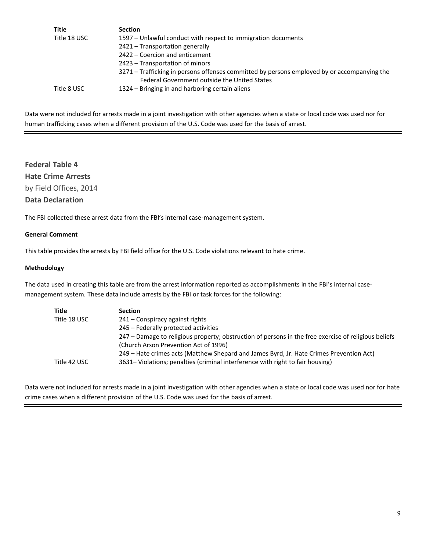| <b>Section</b>                                                                              |
|---------------------------------------------------------------------------------------------|
| 1597 – Unlawful conduct with respect to immigration documents                               |
| 2421 - Transportation generally                                                             |
| 2422 – Coercion and enticement                                                              |
| 2423 – Transportation of minors                                                             |
| 3271 – Trafficking in persons offenses committed by persons employed by or accompanying the |
| Federal Government outside the United States                                                |
| 1324 – Bringing in and harboring certain aliens                                             |
|                                                                                             |

Data were not included for arrests made in a joint investigation with other agencies when a state or local code was used nor for human trafficking cases when a different provision of the U.S. Code was used for the basis of arrest.

# <span id="page-8-0"></span>**Federal Table 4 Hate Crime Arrests** by Field Offices, 2014 **Data Declaration**

The FBI collected these arrest data from the FBI's internal case-management system.

#### **General Comment**

This table provides the arrests by FBI field office for the U.S. Code violations relevant to hate crime.

#### **Methodology**

The data used in creating this table are from the arrest information reported as accomplishments in the FBI's internal casemanagement system. These data include arrests by the FBI or task forces for the following:

| <b>Title</b> | <b>Section</b>                                                                                       |
|--------------|------------------------------------------------------------------------------------------------------|
| Title 18 USC | 241 – Conspiracy against rights                                                                      |
|              | 245 – Federally protected activities                                                                 |
|              | 247 – Damage to religious property; obstruction of persons in the free exercise of religious beliefs |
|              | (Church Arson Prevention Act of 1996)                                                                |
|              | 249 – Hate crimes acts (Matthew Shepard and James Byrd, Jr. Hate Crimes Prevention Act)              |
| Title 42 USC | 3631– Violations; penalties (criminal interference with right to fair housing)                       |

Data were not included for arrests made in a joint investigation with other agencies when a state or local code was used nor for hate crime cases when a different provision of the U.S. Code was used for the basis of arrest.